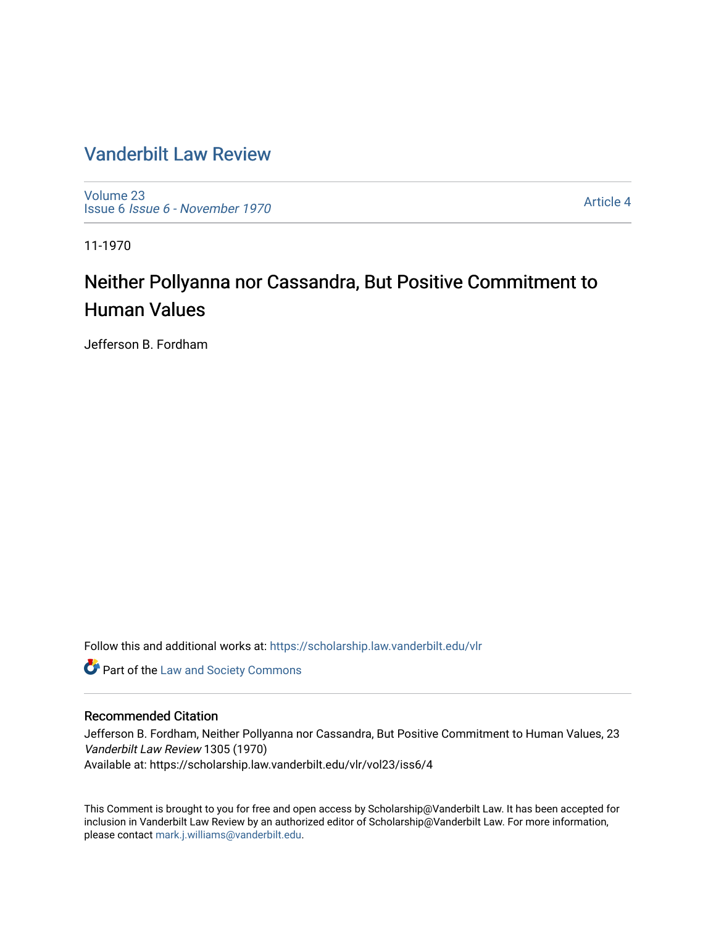## [Vanderbilt Law Review](https://scholarship.law.vanderbilt.edu/vlr)

[Volume 23](https://scholarship.law.vanderbilt.edu/vlr/vol23) Issue 6 [Issue 6 - November 1970](https://scholarship.law.vanderbilt.edu/vlr/vol23/iss6)

[Article 4](https://scholarship.law.vanderbilt.edu/vlr/vol23/iss6/4) 

11-1970

# Neither Pollyanna nor Cassandra, But Positive Commitment to Human Values

Jefferson B. Fordham

Follow this and additional works at: [https://scholarship.law.vanderbilt.edu/vlr](https://scholarship.law.vanderbilt.edu/vlr?utm_source=scholarship.law.vanderbilt.edu%2Fvlr%2Fvol23%2Fiss6%2F4&utm_medium=PDF&utm_campaign=PDFCoverPages)

**Part of the [Law and Society Commons](http://network.bepress.com/hgg/discipline/853?utm_source=scholarship.law.vanderbilt.edu%2Fvlr%2Fvol23%2Fiss6%2F4&utm_medium=PDF&utm_campaign=PDFCoverPages)** 

### Recommended Citation

Jefferson B. Fordham, Neither Pollyanna nor Cassandra, But Positive Commitment to Human Values, 23 Vanderbilt Law Review 1305 (1970) Available at: https://scholarship.law.vanderbilt.edu/vlr/vol23/iss6/4

This Comment is brought to you for free and open access by Scholarship@Vanderbilt Law. It has been accepted for inclusion in Vanderbilt Law Review by an authorized editor of Scholarship@Vanderbilt Law. For more information, please contact [mark.j.williams@vanderbilt.edu.](mailto:mark.j.williams@vanderbilt.edu)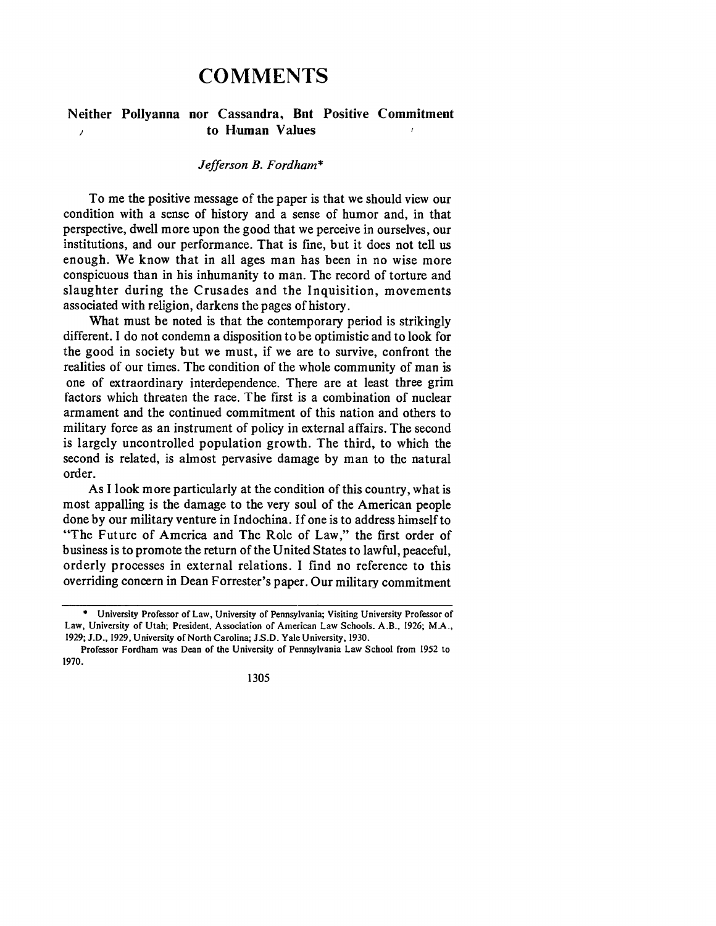## **COMMENTS**

#### **Neither Pollyanna nor Cassandra, But Positive Commitment to Human Values**  $\lambda$

#### *Jefferson B. Fordham\**

To me the positive message of the paper is that we should view our condition with a sense of history and a sense of humor and, in that perspective, dwell more upon the good that we perceive in ourselves, our institutions, and our performance. That is fine, but it does not tell us enough. We know that in all ages man has been in no wise more conspicuous than in his inhumanity to man. The record of torture and slaughter during the Crusades and the Inquisition, movements associated with religion, darkens the pages of history.

What must be noted is that the contemporary period is strikingly different. **I** do not condemn a disposition to be optimistic and to look for the good in society but we must, if we are to survive, confront the realities of our times. The condition of the whole community of man is one of extraordinary interdependence. There are at least three grim factors which threaten the race. The first is a combination of nuclear armament and the continued commitment of this nation and others to military force as an instrument of policy in external affairs. The second is largely uncontrolled population growth. The third, to which the second is related, is almost pervasive damage by man to the natural order.

As I look more particularly at the condition of this country, what is most appalling is the damage to the very soul of the American people done by our military venture in Indochina. If one is to address himself to "The Future of America and The Role of Law," the first order of business is to promote the return of the United States to lawful, peaceful, orderly processes in external relations. I find no reference to this overriding concern in Dean Forrester's paper. Our military commitment

University Professor of Law, University of Pennsylvania; Visiting University Professor of Law, University of Utah; President, Association of American Law Schools. A.B., **1926;** MA., **1929; J.D., 1929,** University of North Carolina; **J.S.D.** Yale University, **1930.**

Professor Fordham was Dean of the University of Pennsylvania **Law** School from **1952 to 1970.**

<sup>1305</sup>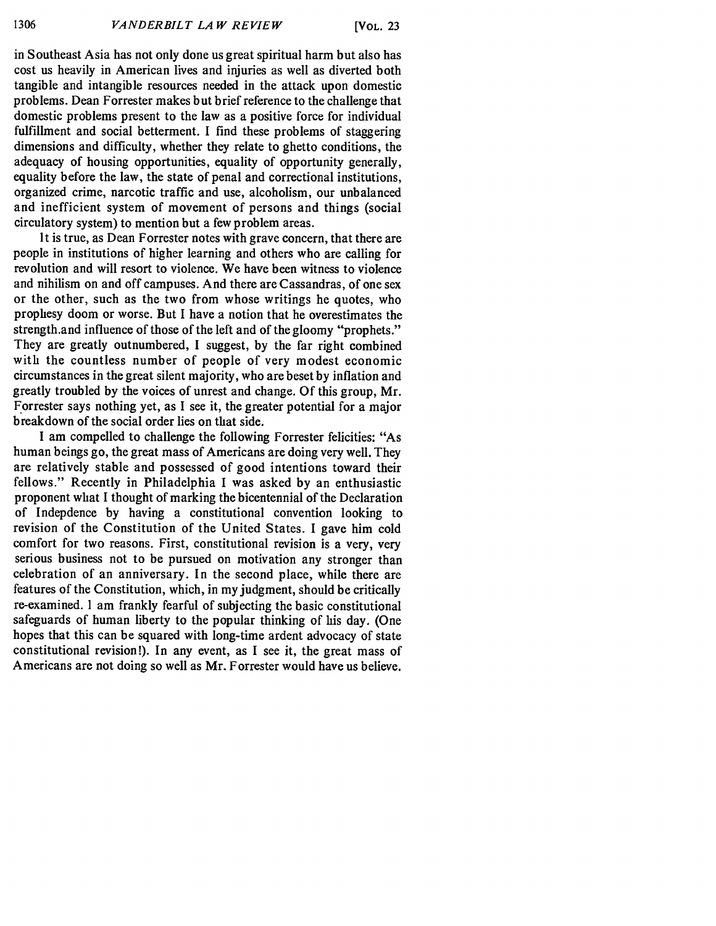in Southeast Asia has not only done us great spiritual harm but also has cost us heavily in American lives and injuries as well as diverted both tangible and intangible resources needed in the attack upon domestic problems. Dean Forrester makes but brief reference to the challenge that domestic problems present to the law as a positive force for individual fulfillment and social betterment. I find these problems of staggering dimensions and difficulty, whether they relate to ghetto conditions, the adequacy of housing opportunities, equality of opportunity generally, equality before the law, the state of penal and correctional institutions, organized crime, narcotic traffic and use, alcoholism, our unbalanced and inefficient system of movement of persons and things (social circulatory system) to mention but a few problem areas.

It is true, as Dean Forrester notes with grave concern, that there are people in institutions of higher learning and others who are calling for revolution and will resort to violence. We have been witness to violence and nihilism on and off campuses. And there are Cassandras, of one sex or the other, such as the two from whose writings he quotes, who prophesy doom or worse. But I have a notion that he overestimates the strength.and influence of those of the left and of the gloomy "prophets." They are greatly outnumbered, I suggest, by the far right combined with the countless number of people of very modest economic circumstances in the great silent majority, who are beset by inflation and greatly troubled by the voices of unrest and change. Of this group, Mr. Forrester says nothing yet, as I see it, the greater potential for a major breakdown of the social order lies on that side.

I am compelled to challenge the following Forrester felicities: "As human beings go, the great mass of Americans are doing very well. They are relatively stable and possessed of good intentions toward their fellows." Recently in Philadelphia I was asked by an enthusiastic proponent what I thought of marking the bicentennial of the Declaration of Indepdence by having a constitutional convention looking to revision of the Constitution of the United States. I gave him cold comfort for two reasons. First, constitutional revision is a very, very serious business not to be pursued on motivation any stronger than celebration of an anniversary. In the second place, while there are features of the Constitution, which, in my judgment, should be critically re-examined. I am frankly fearful of subjecting the basic constitutional safeguards of human liberty to the popular thinking of his day. (One hopes that this can be squared with long-time ardent advocacy of state constitutional revision!). In any event, as I see it, the great mass of Americans are not doing so well as Mr. Forrester would have us believe.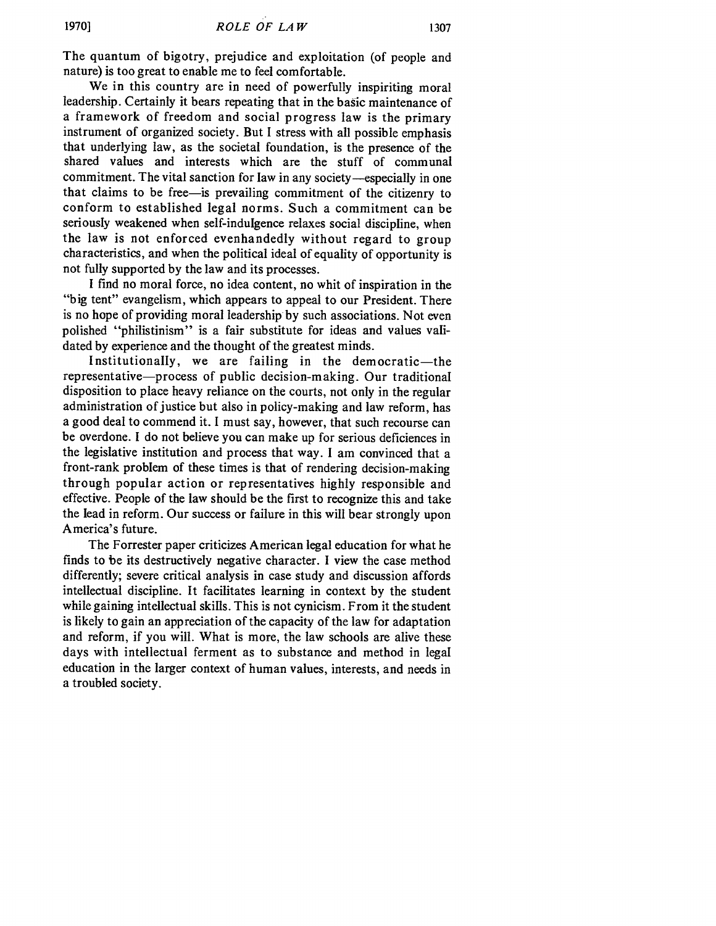The quantum of bigotry, prejudice and exploitation (of people and nature) is too great to enable me to feel comfortable.

We in this country are in need of powerfully inspiriting moral leadership. Certainly it bears repeating that in the basic maintenance of a framework of freedom and social progress law is the primary instrument of organized society. But I stress with all possible emphasis that underlying law, as the societal foundation, is the presence of the shared values and interests which are the stuff of communal commitment. The vital sanction for law in any society-especially in one that claims to be free-is prevailing commitment of the citizenry to conform to established legal norms. Such a commitment can be seriously weakened when self-indulgence relaxes social discipline, when the law is not enforced evenhandedly without regard to group characteristics, and when the political ideal of equality of opportunity is not fully supported by the law and its processes.

I find no moral force, no idea content, no whit of inspiration in the "big tent" evangelism, which appears to appeal to our President. There is no hope of providing moral leadership by such associations. Not even polished "philistinism" is a fair substitute for ideas and values validated by experience and the thought of the greatest minds.

Institutionally, we are failing in the democratic-the representative-process of public decision-making. Our traditional disposition to place heavy reliance on the courts, not only in the regular administration of justice but also in policy-making and law reform, has a good deal to commend it. I must say, however, that such recourse can be overdone. I do not believe you can make up for serious deficiences in the legislative institution and process that way. I am convinced that a front-rank problem of these times is that of rendering decision-making through popular action or representatives highly responsible and effective. People of the law should be the first to recognize this and take the lead in reform. Our success or failure in this will bear strongly upon America's future.

The Forrester paper criticizes American legal education for what he finds to be its destructively negative character. I view the case method differently; severe critical analysis in case study and discussion affords intellectual discipline. It facilitates learning in context by the student while gaining intellectual skills. This is not cynicism. From it the student is likely to gain an appreciation of the capacity of the law for adaptation and reform, if you will. What is more, the law schools are alive these days with intellectual ferment as to substance and method in legal education in the larger context of human values, interests, and needs in a troubled society.